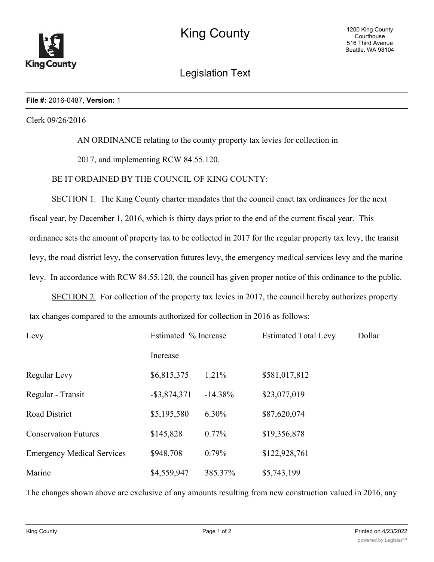

Legislation Text

## **File #:** 2016-0487, **Version:** 1

Clerk 09/26/2016

AN ORDINANCE relating to the county property tax levies for collection in

2017, and implementing RCW 84.55.120.

## BE IT ORDAINED BY THE COUNCIL OF KING COUNTY:

SECTION 1. The King County charter mandates that the council enact tax ordinances for the next fiscal year, by December 1, 2016, which is thirty days prior to the end of the current fiscal year. This ordinance sets the amount of property tax to be collected in 2017 for the regular property tax levy, the transit levy, the road district levy, the conservation futures levy, the emergency medical services levy and the marine levy. In accordance with RCW 84.55.120, the council has given proper notice of this ordinance to the public.

SECTION 2. For collection of the property tax levies in 2017, the council hereby authorizes property tax changes compared to the amounts authorized for collection in 2016 as follows:

| Levy                              | Estimated % Increase |           | <b>Estimated Total Levy</b> | Dollar |
|-----------------------------------|----------------------|-----------|-----------------------------|--------|
|                                   | Increase             |           |                             |        |
| Regular Levy                      | \$6,815,375          | 1.21%     | \$581,017,812               |        |
| Regular - Transit                 | $-$ \$3,874,371      | $-14.38%$ | \$23,077,019                |        |
| <b>Road District</b>              | \$5,195,580          | 6.30%     | \$87,620,074                |        |
| <b>Conservation Futures</b>       | \$145,828            | $0.77\%$  | \$19,356,878                |        |
| <b>Emergency Medical Services</b> | \$948,708            | $0.79\%$  | \$122,928,761               |        |
| Marine                            | \$4,559,947          | 385.37%   | \$5,743,199                 |        |

The changes shown above are exclusive of any amounts resulting from new construction valued in 2016, any